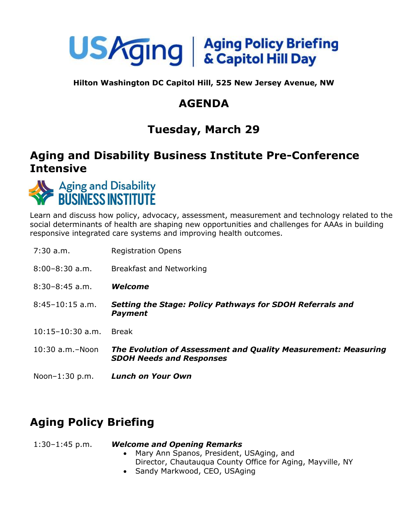

**Hilton Washington DC Capitol Hill, 525 New Jersey Avenue, NW**

## **AGENDA**

# **Tuesday, March 29**

### **Aging and Disability Business Institute Pre-Conference Intensive**



Learn and discuss how policy, advocacy, assessment, measurement and technology related to the social determinants of health are shaping new opportunities and challenges for AAAs in building responsive integrated care systems and improving health outcomes.

| $7:30$ a.m.           | <b>Registration Opens</b>                                                                         |
|-----------------------|---------------------------------------------------------------------------------------------------|
| $8:00-8:30$ a.m.      | Breakfast and Networking                                                                          |
| $8:30-8:45$ a.m.      | Welcome                                                                                           |
| $8:45-10:15$ a.m.     | Setting the Stage: Policy Pathways for SDOH Referrals and<br><b>Payment</b>                       |
| $10:15 - 10:30$ a.m.  | <b>Break</b>                                                                                      |
| $10:30$ a.m. $-$ Noon | The Evolution of Assessment and Quality Measurement: Measuring<br><b>SDOH Needs and Responses</b> |
| Noon $-1:30$ p.m.     | <b>Lunch on Your Own</b>                                                                          |

## **Aging Policy Briefing**

### 1:30–1:45 p.m. *Welcome and Opening Remarks*

- Mary Ann Spanos, President, USAging, and Director, Chautauqua County Office for Aging, Mayville, NY
- Sandy Markwood, CEO, USAging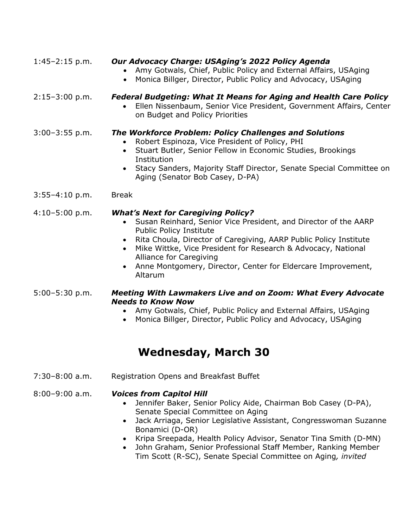| $1:45-2:15$ p.m.   | Our Advocacy Charge: USAging's 2022 Policy Agenda<br>Amy Gotwals, Chief, Public Policy and External Affairs, USAging<br>Monica Billger, Director, Public Policy and Advocacy, USAging                                                                                                                                                                                                            |
|--------------------|--------------------------------------------------------------------------------------------------------------------------------------------------------------------------------------------------------------------------------------------------------------------------------------------------------------------------------------------------------------------------------------------------|
| $2:15-3:00 p.m.$   | <b>Federal Budgeting: What It Means for Aging and Health Care Policy</b><br>Ellen Nissenbaum, Senior Vice President, Government Affairs, Center<br>on Budget and Policy Priorities                                                                                                                                                                                                               |
| $3:00-3:55$ p.m.   | <b>The Workforce Problem: Policy Challenges and Solutions</b><br>Robert Espinoza, Vice President of Policy, PHI<br>Stuart Butler, Senior Fellow in Economic Studies, Brookings<br>$\bullet$<br>Institution<br>Stacy Sanders, Majority Staff Director, Senate Special Committee on<br>$\bullet$<br>Aging (Senator Bob Casey, D-PA)                                                                |
| $3:55-4:10 p.m.$   | <b>Break</b>                                                                                                                                                                                                                                                                                                                                                                                     |
| $4:10-5:00 p.m.$   | <b>What's Next for Caregiving Policy?</b><br>Susan Reinhard, Senior Vice President, and Director of the AARP<br>Public Policy Institute<br>Rita Choula, Director of Caregiving, AARP Public Policy Institute<br>Mike Wittke, Vice President for Research & Advocacy, National<br>$\bullet$<br>Alliance for Caregiving<br>Anne Montgomery, Director, Center for Eldercare Improvement,<br>Altarum |
| $5:00 - 5:30$ p.m. | <b>Meeting With Lawmakers Live and on Zoom: What Every Advocate</b><br><b>Needs to Know Now</b><br>Amy Gotwals, Chief, Public Policy and External Affairs, USAging<br>Monica Billger, Director, Public Policy and Advocacy, USAging                                                                                                                                                              |

### **Wednesday, March 30**

7:30–8:00 a.m. Registration Opens and Breakfast Buffet

### 8:00–9:00 a.m. *Voices from Capitol Hill*

- Jennifer Baker, Senior Policy Aide, Chairman Bob Casey (D-PA), Senate Special Committee on Aging
- Jack Arriaga, Senior Legislative Assistant, Congresswoman Suzanne Bonamici (D-OR)
- Kripa Sreepada, Health Policy Advisor, Senator Tina Smith (D-MN)
- John Graham, Senior Professional Staff Member, Ranking Member Tim Scott (R-SC), Senate Special Committee on Aging*, invited*